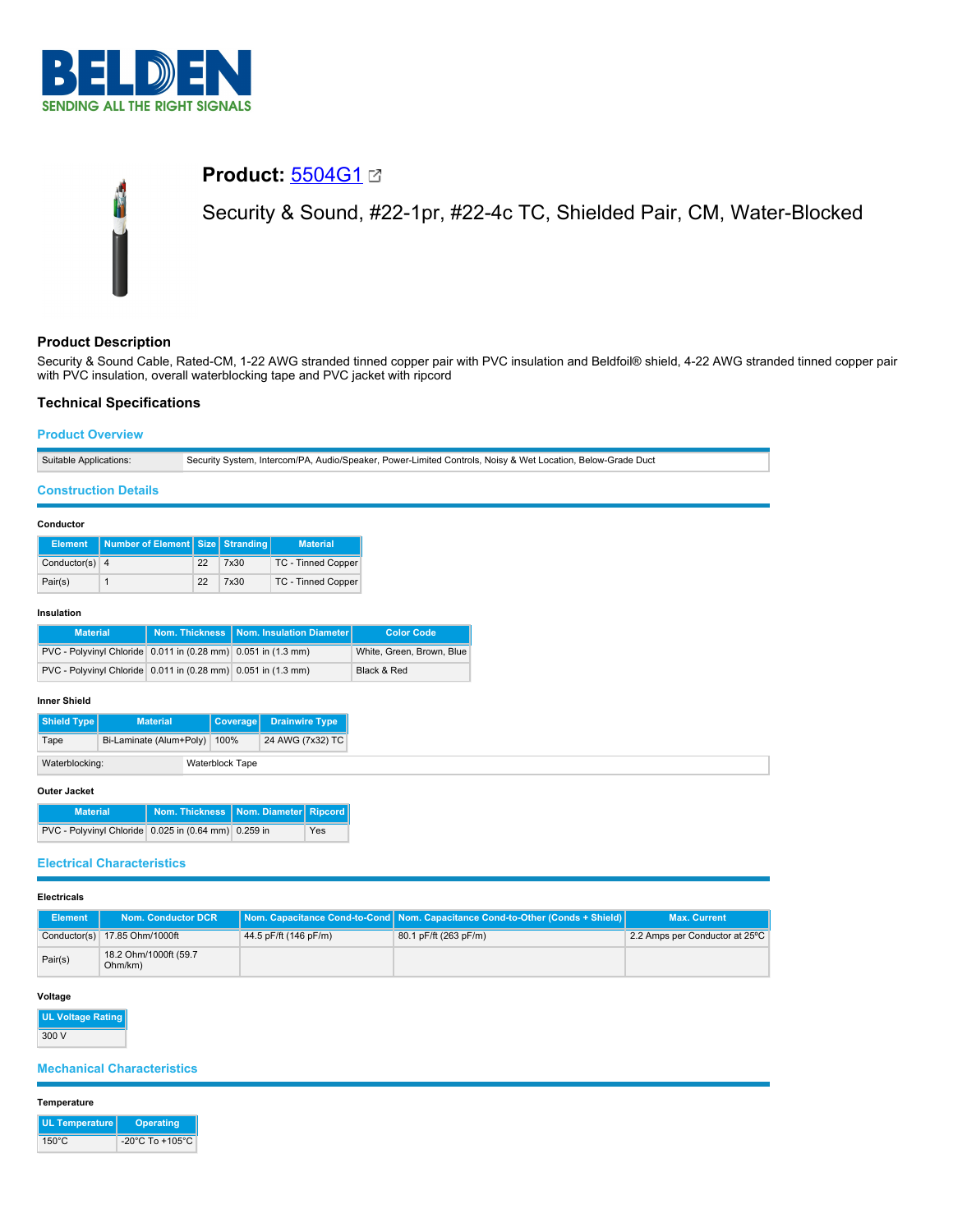

# **Product:** [5504G1](https://catalog.belden.com/index.cfm?event=pd&p=PF_5504G1&tab=downloads) Security & Sound, #22-1pr, #22-4c TC, Shielded Pair, CM, Water-Blocked

# **Product Description**

Security & Sound Cable, Rated-CM, 1-22 AWG stranded tinned copper pair with PVC insulation and Beldfoil® shield, 4-22 AWG stranded tinned copper pair with PVC insulation, overall waterblocking tape and PVC jacket with ripcord

# **Technical Specifications**

# **Product Overview**

| Security System, Intercom/PA, Audio/Speaker, Power-Limited Controls, Noisy & Wet Location, Below-Grade Duct<br>Suitable Applications: |  |
|---------------------------------------------------------------------------------------------------------------------------------------|--|
|---------------------------------------------------------------------------------------------------------------------------------------|--|

# **Construction Details**

# **Conductor**

| <b>Element</b>   | Number of Element Size Stranding |    |      | <b>Material</b>    |
|------------------|----------------------------------|----|------|--------------------|
| Conductor(s) $4$ |                                  | 22 | 7x30 | TC - Tinned Copper |
| Pair(s)          |                                  | 22 | 7x30 | TC - Tinned Copper |

# **Insulation**

| <b>Material</b>                                               | Nom. Thickness   Nom. Insulation Diameter | <b>Color Code</b>         |
|---------------------------------------------------------------|-------------------------------------------|---------------------------|
| PVC - Polyvinyl Chloride 0.011 in (0.28 mm) 0.051 in (1.3 mm) |                                           | White, Green, Brown, Blue |
| PVC - Polyvinyl Chloride 0.011 in (0.28 mm) 0.051 in (1.3 mm) |                                           | Black & Red               |

#### **Inner Shield**

| Shield Type    | <b>Material</b>         |  | <b>Coverage</b> | <b>Drainwire Type</b> |
|----------------|-------------------------|--|-----------------|-----------------------|
| Tape           | Bi-Laminate (Alum+Poly) |  | 100%            | 24 AWG (7x32) TC      |
| Waterblocking: |                         |  | Waterblock Tape |                       |

#### **Outer Jacket**

| <b>Material</b>                                      | Nom. Thickness   Nom. Diameter   Ripcord |     |
|------------------------------------------------------|------------------------------------------|-----|
| PVC - Polyvinyl Chloride 0.025 in (0.64 mm) 0.259 in |                                          | Yes |

# **Electrical Characteristics**

| <b>Electricals</b> |                                  |                       |                                                                                 |                                |
|--------------------|----------------------------------|-----------------------|---------------------------------------------------------------------------------|--------------------------------|
| Element            | <b>Nom. Conductor DCR</b>        |                       | Nom. Capacitance Cond-to-Cond   Nom. Capacitance Cond-to-Other (Conds + Shield) | <b>Max. Current</b>            |
|                    | Conductor(s) 17.85 Ohm/1000ft    | 44.5 pF/ft (146 pF/m) | 80.1 pF/ft (263 pF/m)                                                           | 2.2 Amps per Conductor at 25°C |
| Pair(s)            | 18.2 Ohm/1000ft (59.7<br>Ohm/km) |                       |                                                                                 |                                |

#### **Voltage**

**UL Voltage Rating** 300 V

# **Mechanical Characteristics**

#### **Temperature**

| UL Temperature  | Operating                           |
|-----------------|-------------------------------------|
| $150^{\circ}$ C | $-20^{\circ}$ C To $+105^{\circ}$ C |